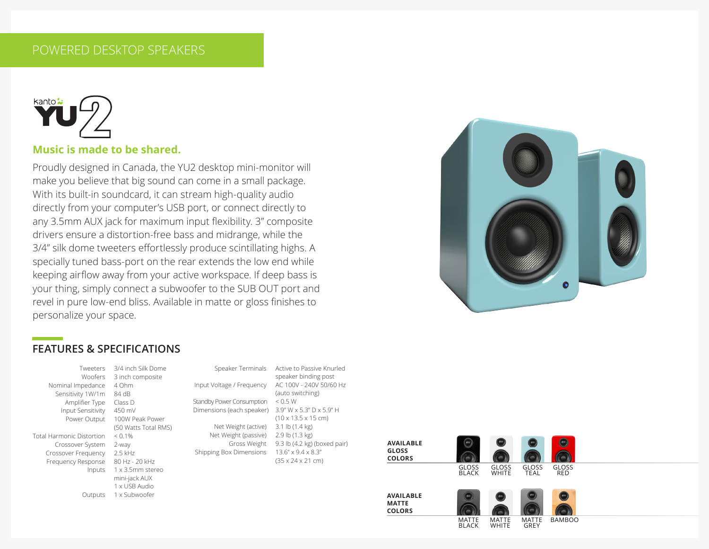## POWERED DESkTOP SPEAKERS



#### **Music is made to be shared.**

Proudly designed in Canada, the YU2 desktop mini-monitor will make you believe that big sound can come in a small package. With its built-in soundcard, it can stream high-quality audio directly from your computer's USB port, or connect directly to any 3.5mm AUX jack for maximum input flexibility. 3" composite drivers ensure a distortion-free bass and midrange, while the 3/4" silk dome tweeters effortlessly produce scintillating highs. A specially tuned bass-port on the rear extends the low end while keeping airflow away from your active workspace. If deep bass is your thing, simply connect a subwoofer to the SUB OUT port and revel in pure low-end bliss. Available in matte or gloss finishes to personalize your space.



#### **FEATURES & SPECIFICATIONS**

|   | Tweeters                  |
|---|---------------------------|
|   | Woofers                   |
|   | Nominal Impedance         |
| j | Sensitivity 1W/1m         |
|   | Amplifier Type            |
|   | Input Sensitivity         |
|   | Power Output              |
|   |                           |
| ì | Total Harmonic Distortion |
|   | Crossover System          |
|   | Crossover Frequency       |
|   | <b>Frequency Response</b> |
|   | Inputs                    |
|   |                           |
|   |                           |
|   |                           |

3/4 inch Silk Dome 3 inch composite 4 Ohm  $84$  dB Class D 450 mV 100W Peak Power (50 Watts Total RMS)  $< 0.1\%$ 2-way  $2.5$  kHz 80 Hz - 20 kHz 1 x 3.5mm stereo mini-jack AUX 1 x USB Audio Outputs 1 x Subwoofer

Speaker Terminals Active to Passive Knurled speaker binding post Input Voltage / Frequency AC 100V - 240V 50/60 Hz (auto switching) Standby Power Consumption < 0.5 W Dimensions (each speaker) 3.9" W x 5.3" D x 5.9" H (10 x 13.5 x 15 cm) Net Weight (active) 3.1 lb (1.4 kg) Net Weight (passive) 2.9 lb (1.3 kg) Gross Weight 9.3 lb (4.2 kg) (boxed pair) Shipping Box Dimensions 13.6" x 9.4 x 8.3" (35 x 24 x 21 cm)



MATTE BLACK

MATTE WHITE

MATTE GREY

BAMBOO